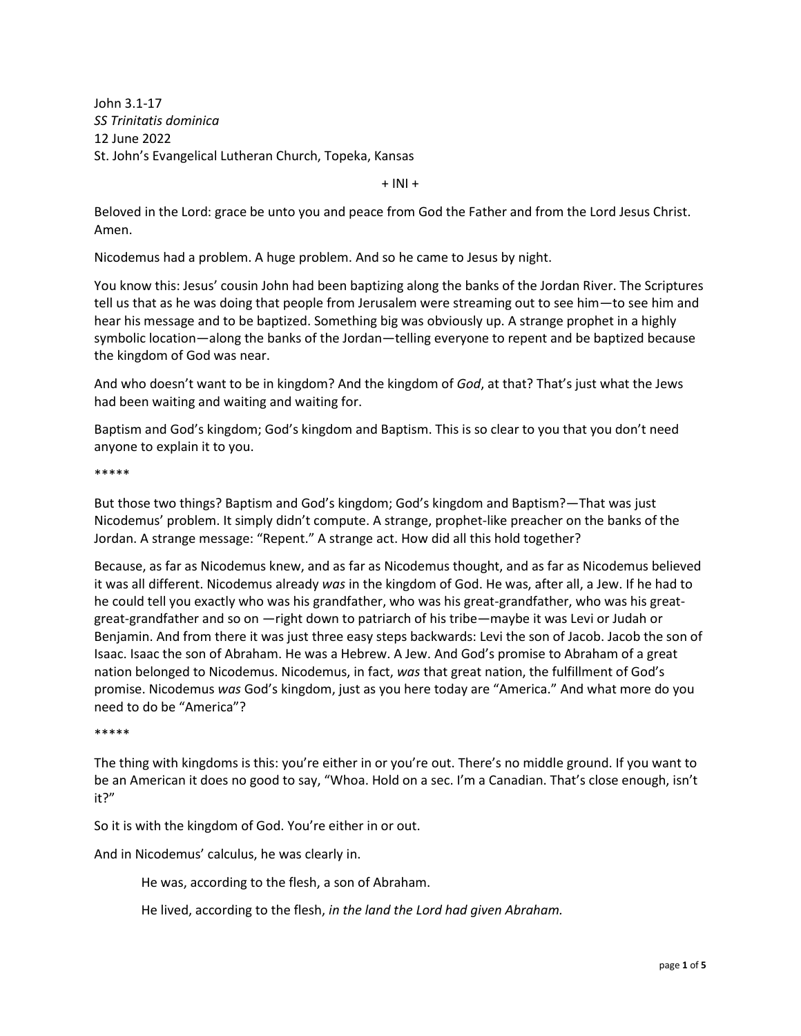John 3.1-17 *SS Trinitatis dominica* 12 June 2022 St. John's Evangelical Lutheran Church, Topeka, Kansas

 $+$  INI  $+$ 

Beloved in the Lord: grace be unto you and peace from God the Father and from the Lord Jesus Christ. Amen.

Nicodemus had a problem. A huge problem. And so he came to Jesus by night.

You know this: Jesus' cousin John had been baptizing along the banks of the Jordan River. The Scriptures tell us that as he was doing that people from Jerusalem were streaming out to see him—to see him and hear his message and to be baptized. Something big was obviously up. A strange prophet in a highly symbolic location—along the banks of the Jordan—telling everyone to repent and be baptized because the kingdom of God was near.

And who doesn't want to be in kingdom? And the kingdom of *God*, at that? That's just what the Jews had been waiting and waiting and waiting for.

Baptism and God's kingdom; God's kingdom and Baptism. This is so clear to you that you don't need anyone to explain it to you.

\*\*\*\*\*

But those two things? Baptism and God's kingdom; God's kingdom and Baptism?—That was just Nicodemus' problem. It simply didn't compute. A strange, prophet-like preacher on the banks of the Jordan. A strange message: "Repent." A strange act. How did all this hold together?

Because, as far as Nicodemus knew, and as far as Nicodemus thought, and as far as Nicodemus believed it was all different. Nicodemus already *was* in the kingdom of God. He was, after all, a Jew. If he had to he could tell you exactly who was his grandfather, who was his great-grandfather, who was his greatgreat-grandfather and so on —right down to patriarch of his tribe—maybe it was Levi or Judah or Benjamin. And from there it was just three easy steps backwards: Levi the son of Jacob. Jacob the son of Isaac. Isaac the son of Abraham. He was a Hebrew. A Jew. And God's promise to Abraham of a great nation belonged to Nicodemus. Nicodemus, in fact, *was* that great nation, the fulfillment of God's promise. Nicodemus *was* God's kingdom, just as you here today are "America." And what more do you need to do be "America"?

\*\*\*\*\*

The thing with kingdoms is this: you're either in or you're out. There's no middle ground. If you want to be an American it does no good to say, "Whoa. Hold on a sec. I'm a Canadian. That's close enough, isn't it?"

So it is with the kingdom of God. You're either in or out.

And in Nicodemus' calculus, he was clearly in.

He was, according to the flesh, a son of Abraham.

He lived, according to the flesh, *in the land the Lord had given Abraham.*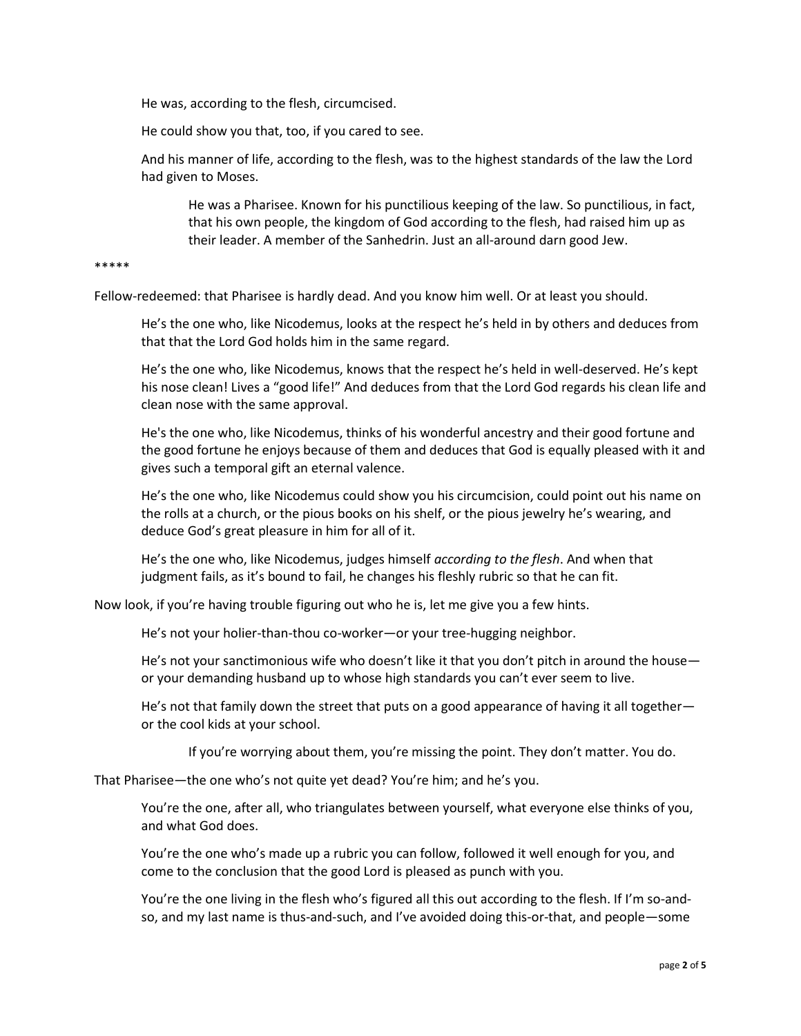He was, according to the flesh, circumcised.

He could show you that, too, if you cared to see.

And his manner of life, according to the flesh, was to the highest standards of the law the Lord had given to Moses.

He was a Pharisee. Known for his punctilious keeping of the law. So punctilious, in fact, that his own people, the kingdom of God according to the flesh, had raised him up as their leader. A member of the Sanhedrin. Just an all-around darn good Jew.

## \*\*\*\*\*

Fellow-redeemed: that Pharisee is hardly dead. And you know him well. Or at least you should.

He's the one who, like Nicodemus, looks at the respect he's held in by others and deduces from that that the Lord God holds him in the same regard.

He's the one who, like Nicodemus, knows that the respect he's held in well-deserved. He's kept his nose clean! Lives a "good life!" And deduces from that the Lord God regards his clean life and clean nose with the same approval.

He's the one who, like Nicodemus, thinks of his wonderful ancestry and their good fortune and the good fortune he enjoys because of them and deduces that God is equally pleased with it and gives such a temporal gift an eternal valence.

He's the one who, like Nicodemus could show you his circumcision, could point out his name on the rolls at a church, or the pious books on his shelf, or the pious jewelry he's wearing, and deduce God's great pleasure in him for all of it.

He's the one who, like Nicodemus, judges himself *according to the flesh*. And when that judgment fails, as it's bound to fail, he changes his fleshly rubric so that he can fit.

Now look, if you're having trouble figuring out who he is, let me give you a few hints.

He's not your holier-than-thou co-worker—or your tree-hugging neighbor.

He's not your sanctimonious wife who doesn't like it that you don't pitch in around the house or your demanding husband up to whose high standards you can't ever seem to live.

He's not that family down the street that puts on a good appearance of having it all together or the cool kids at your school.

If you're worrying about them, you're missing the point. They don't matter. You do.

That Pharisee—the one who's not quite yet dead? You're him; and he's you.

You're the one, after all, who triangulates between yourself, what everyone else thinks of you, and what God does.

You're the one who's made up a rubric you can follow, followed it well enough for you, and come to the conclusion that the good Lord is pleased as punch with you.

You're the one living in the flesh who's figured all this out according to the flesh. If I'm so-andso, and my last name is thus-and-such, and I've avoided doing this-or-that, and people—some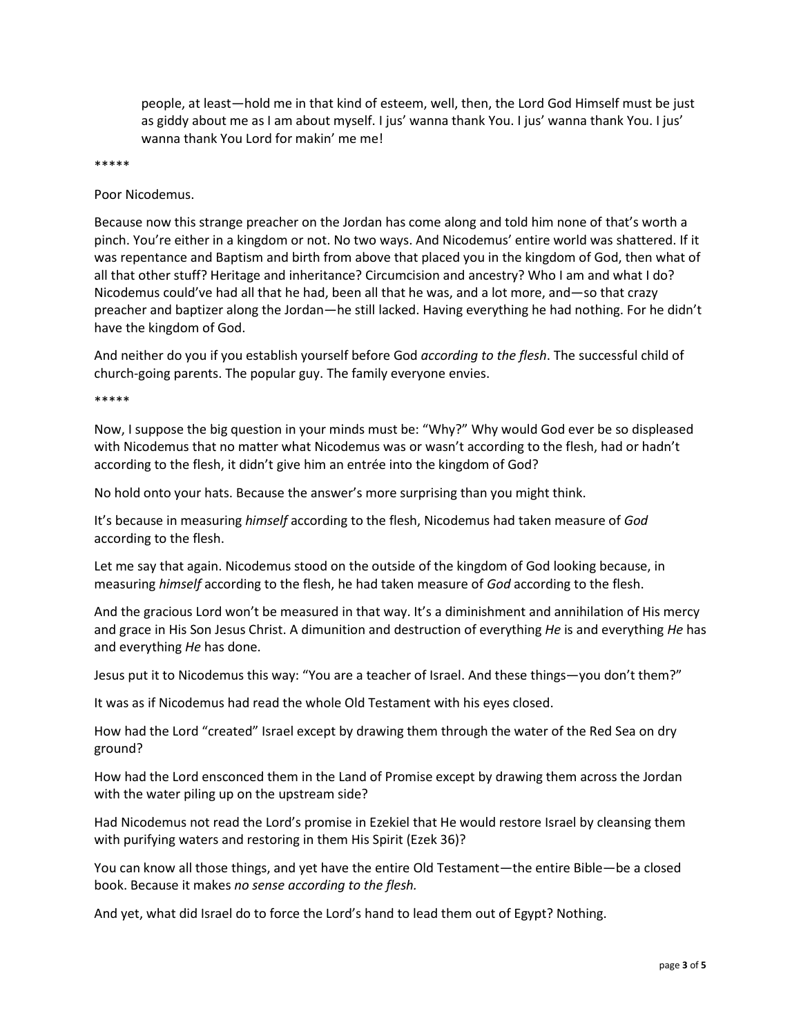people, at least—hold me in that kind of esteem, well, then, the Lord God Himself must be just as giddy about me as I am about myself. I jus' wanna thank You. I jus' wanna thank You. I jus' wanna thank You Lord for makin' me me!

\*\*\*\*\*

Poor Nicodemus.

Because now this strange preacher on the Jordan has come along and told him none of that's worth a pinch. You're either in a kingdom or not. No two ways. And Nicodemus' entire world was shattered. If it was repentance and Baptism and birth from above that placed you in the kingdom of God, then what of all that other stuff? Heritage and inheritance? Circumcision and ancestry? Who I am and what I do? Nicodemus could've had all that he had, been all that he was, and a lot more, and—so that crazy preacher and baptizer along the Jordan—he still lacked. Having everything he had nothing. For he didn't have the kingdom of God.

And neither do you if you establish yourself before God *according to the flesh*. The successful child of church-going parents. The popular guy. The family everyone envies.

\*\*\*\*\*

Now, I suppose the big question in your minds must be: "Why?" Why would God ever be so displeased with Nicodemus that no matter what Nicodemus was or wasn't according to the flesh, had or hadn't according to the flesh, it didn't give him an entrée into the kingdom of God?

No hold onto your hats. Because the answer's more surprising than you might think.

It's because in measuring *himself* according to the flesh, Nicodemus had taken measure of *God*  according to the flesh.

Let me say that again. Nicodemus stood on the outside of the kingdom of God looking because, in measuring *himself* according to the flesh, he had taken measure of *God* according to the flesh.

And the gracious Lord won't be measured in that way. It's a diminishment and annihilation of His mercy and grace in His Son Jesus Christ. A dimunition and destruction of everything *He* is and everything *He* has and everything *He* has done.

Jesus put it to Nicodemus this way: "You are a teacher of Israel. And these things—you don't them?"

It was as if Nicodemus had read the whole Old Testament with his eyes closed.

How had the Lord "created" Israel except by drawing them through the water of the Red Sea on dry ground?

How had the Lord ensconced them in the Land of Promise except by drawing them across the Jordan with the water piling up on the upstream side?

Had Nicodemus not read the Lord's promise in Ezekiel that He would restore Israel by cleansing them with purifying waters and restoring in them His Spirit (Ezek 36)?

You can know all those things, and yet have the entire Old Testament—the entire Bible—be a closed book. Because it makes *no sense according to the flesh.*

And yet, what did Israel do to force the Lord's hand to lead them out of Egypt? Nothing.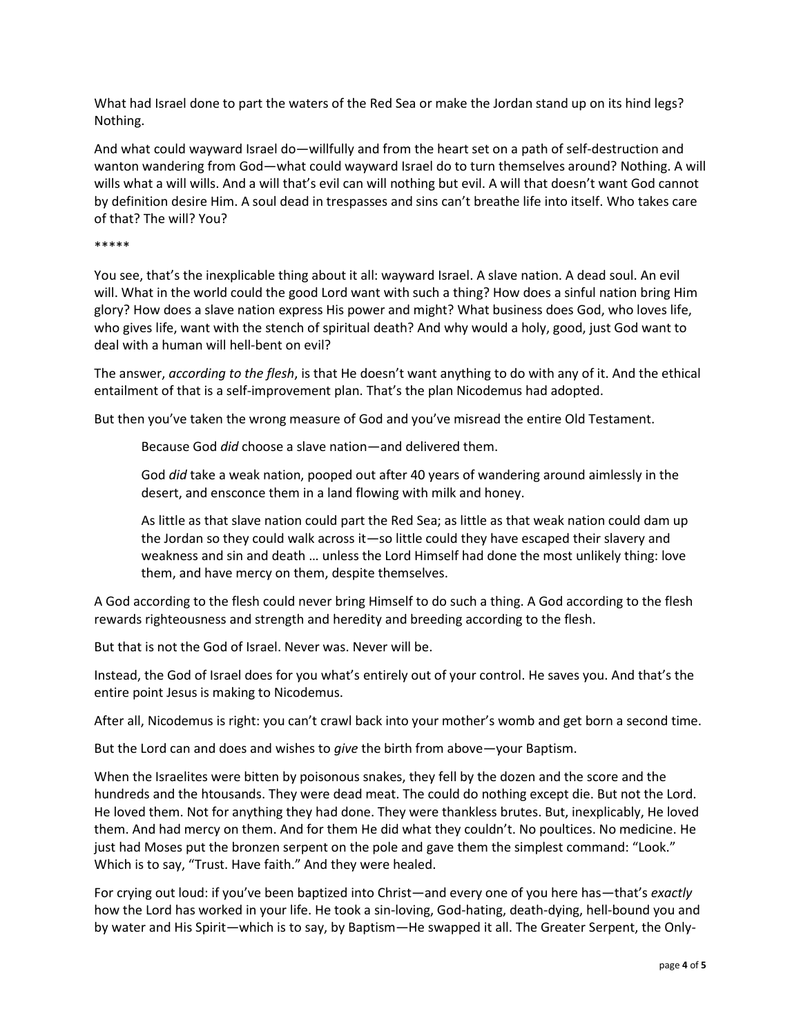What had Israel done to part the waters of the Red Sea or make the Jordan stand up on its hind legs? Nothing.

And what could wayward Israel do—willfully and from the heart set on a path of self-destruction and wanton wandering from God—what could wayward Israel do to turn themselves around? Nothing. A will wills what a will wills. And a will that's evil can will nothing but evil. A will that doesn't want God cannot by definition desire Him. A soul dead in trespasses and sins can't breathe life into itself. Who takes care of that? The will? You?

## \*\*\*\*\*

You see, that's the inexplicable thing about it all: wayward Israel. A slave nation. A dead soul. An evil will. What in the world could the good Lord want with such a thing? How does a sinful nation bring Him glory? How does a slave nation express His power and might? What business does God, who loves life, who gives life, want with the stench of spiritual death? And why would a holy, good, just God want to deal with a human will hell-bent on evil?

The answer, *according to the flesh*, is that He doesn't want anything to do with any of it. And the ethical entailment of that is a self-improvement plan. That's the plan Nicodemus had adopted.

But then you've taken the wrong measure of God and you've misread the entire Old Testament.

Because God *did* choose a slave nation—and delivered them.

God *did* take a weak nation, pooped out after 40 years of wandering around aimlessly in the desert, and ensconce them in a land flowing with milk and honey.

As little as that slave nation could part the Red Sea; as little as that weak nation could dam up the Jordan so they could walk across it—so little could they have escaped their slavery and weakness and sin and death … unless the Lord Himself had done the most unlikely thing: love them, and have mercy on them, despite themselves.

A God according to the flesh could never bring Himself to do such a thing. A God according to the flesh rewards righteousness and strength and heredity and breeding according to the flesh.

But that is not the God of Israel. Never was. Never will be.

Instead, the God of Israel does for you what's entirely out of your control. He saves you. And that's the entire point Jesus is making to Nicodemus.

After all, Nicodemus is right: you can't crawl back into your mother's womb and get born a second time.

But the Lord can and does and wishes to *give* the birth from above—your Baptism.

When the Israelites were bitten by poisonous snakes, they fell by the dozen and the score and the hundreds and the htousands. They were dead meat. The could do nothing except die. But not the Lord. He loved them. Not for anything they had done. They were thankless brutes. But, inexplicably, He loved them. And had mercy on them. And for them He did what they couldn't. No poultices. No medicine. He just had Moses put the bronzen serpent on the pole and gave them the simplest command: "Look." Which is to say, "Trust. Have faith." And they were healed.

For crying out loud: if you've been baptized into Christ—and every one of you here has—that's *exactly* how the Lord has worked in your life. He took a sin-loving, God-hating, death-dying, hell-bound you and by water and His Spirit—which is to say, by Baptism—He swapped it all. The Greater Serpent, the Only